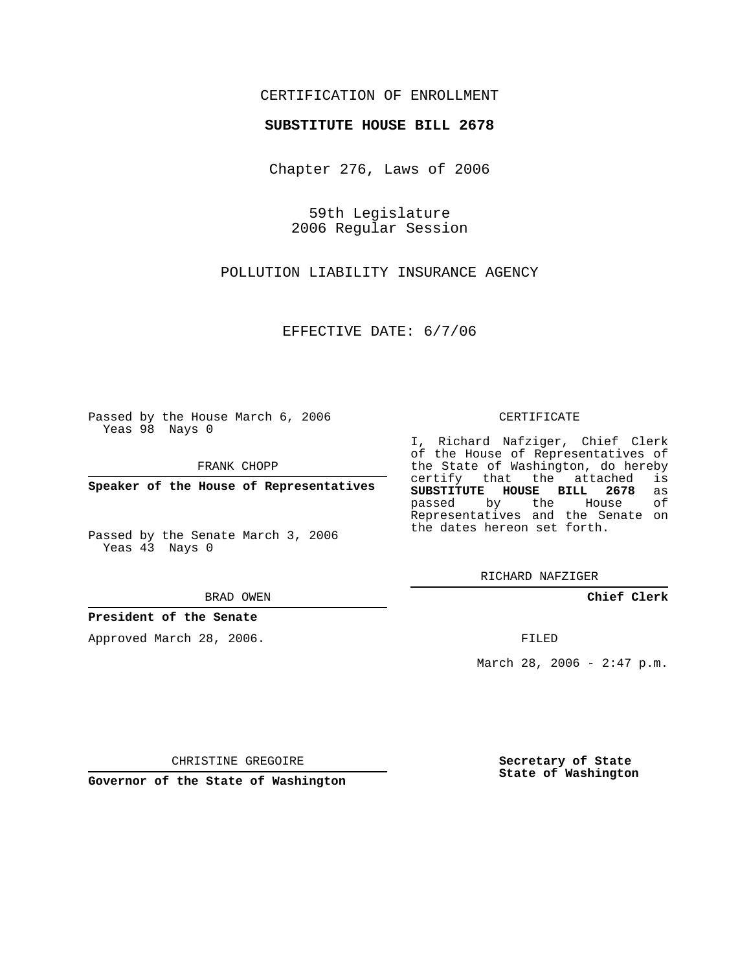## CERTIFICATION OF ENROLLMENT

#### **SUBSTITUTE HOUSE BILL 2678**

Chapter 276, Laws of 2006

59th Legislature 2006 Regular Session

POLLUTION LIABILITY INSURANCE AGENCY

EFFECTIVE DATE: 6/7/06

Passed by the House March 6, 2006 Yeas 98 Nays 0

FRANK CHOPP

**Speaker of the House of Representatives**

Passed by the Senate March 3, 2006 Yeas 43 Nays 0

BRAD OWEN

**President of the Senate**

Approved March 28, 2006.

CERTIFICATE

I, Richard Nafziger, Chief Clerk of the House of Representatives of the State of Washington, do hereby<br>certify that the attached is certify that the attached **SUBSTITUTE HOUSE BILL 2678** as passed by the House Representatives and the Senate on the dates hereon set forth.

RICHARD NAFZIGER

**Chief Clerk**

FILED

March 28, 2006 -  $2:47$  p.m.

CHRISTINE GREGOIRE

**Governor of the State of Washington**

**Secretary of State State of Washington**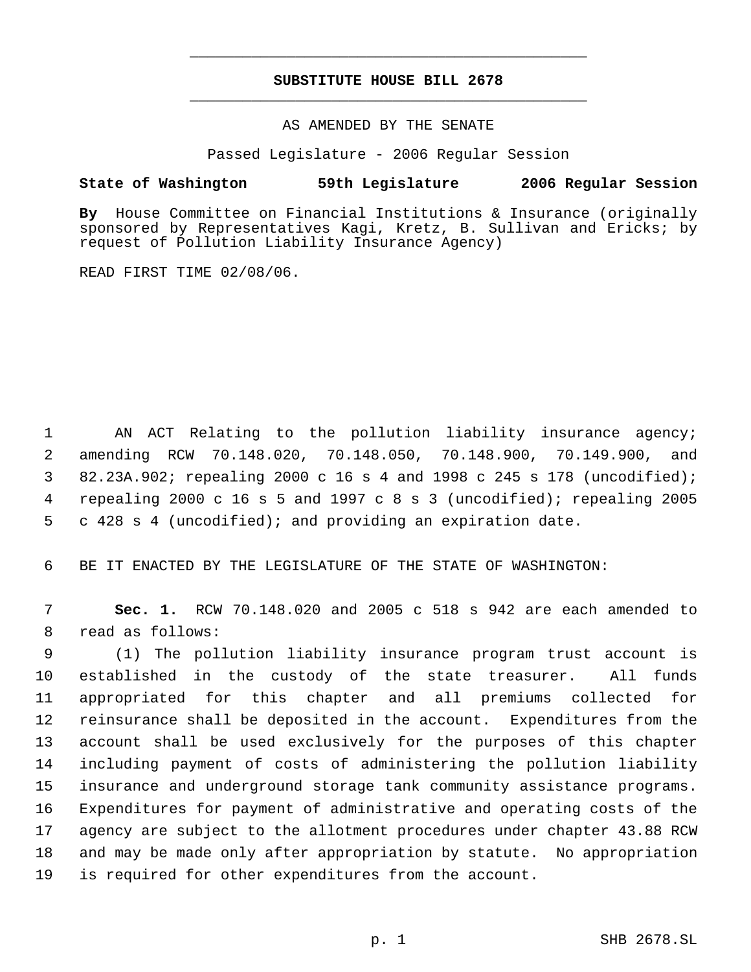# **SUBSTITUTE HOUSE BILL 2678** \_\_\_\_\_\_\_\_\_\_\_\_\_\_\_\_\_\_\_\_\_\_\_\_\_\_\_\_\_\_\_\_\_\_\_\_\_\_\_\_\_\_\_\_\_

\_\_\_\_\_\_\_\_\_\_\_\_\_\_\_\_\_\_\_\_\_\_\_\_\_\_\_\_\_\_\_\_\_\_\_\_\_\_\_\_\_\_\_\_\_

### AS AMENDED BY THE SENATE

Passed Legislature - 2006 Regular Session

### **State of Washington 59th Legislature 2006 Regular Session**

**By** House Committee on Financial Institutions & Insurance (originally sponsored by Representatives Kagi, Kretz, B. Sullivan and Ericks; by request of Pollution Liability Insurance Agency)

READ FIRST TIME 02/08/06.

1 AN ACT Relating to the pollution liability insurance agency; amending RCW 70.148.020, 70.148.050, 70.148.900, 70.149.900, and 82.23A.902; repealing 2000 c 16 s 4 and 1998 c 245 s 178 (uncodified); repealing 2000 c 16 s 5 and 1997 c 8 s 3 (uncodified); repealing 2005 c 428 s 4 (uncodified); and providing an expiration date.

6 BE IT ENACTED BY THE LEGISLATURE OF THE STATE OF WASHINGTON:

 7 **Sec. 1.** RCW 70.148.020 and 2005 c 518 s 942 are each amended to 8 read as follows:

 (1) The pollution liability insurance program trust account is established in the custody of the state treasurer. All funds appropriated for this chapter and all premiums collected for reinsurance shall be deposited in the account. Expenditures from the account shall be used exclusively for the purposes of this chapter including payment of costs of administering the pollution liability insurance and underground storage tank community assistance programs. Expenditures for payment of administrative and operating costs of the agency are subject to the allotment procedures under chapter 43.88 RCW and may be made only after appropriation by statute. No appropriation is required for other expenditures from the account.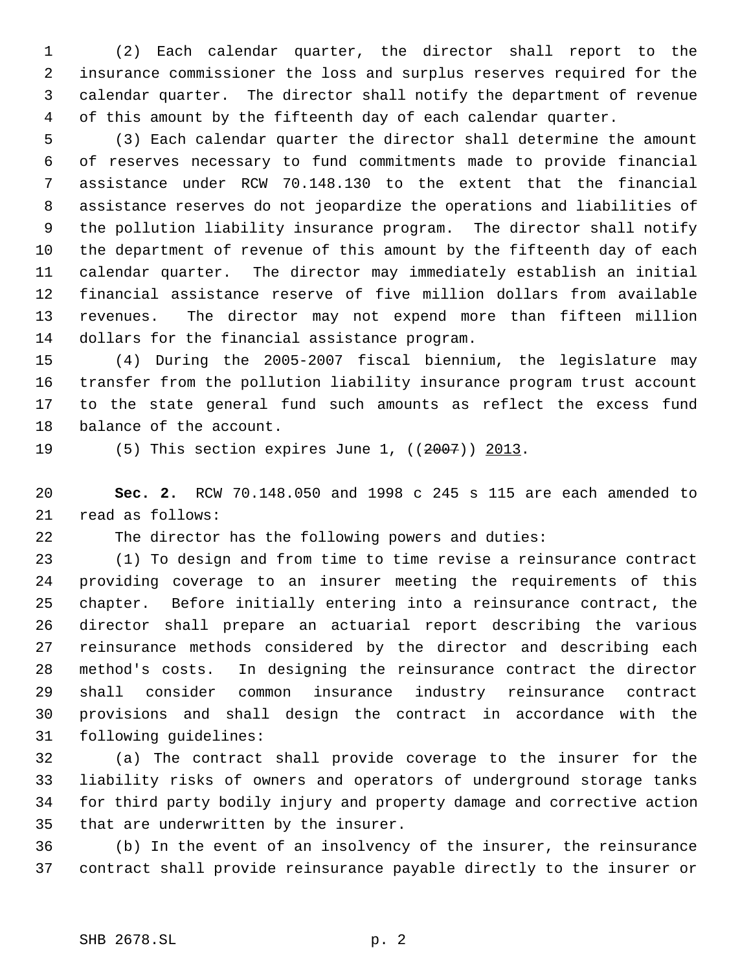(2) Each calendar quarter, the director shall report to the insurance commissioner the loss and surplus reserves required for the calendar quarter. The director shall notify the department of revenue of this amount by the fifteenth day of each calendar quarter.

 (3) Each calendar quarter the director shall determine the amount of reserves necessary to fund commitments made to provide financial assistance under RCW 70.148.130 to the extent that the financial assistance reserves do not jeopardize the operations and liabilities of the pollution liability insurance program. The director shall notify the department of revenue of this amount by the fifteenth day of each calendar quarter. The director may immediately establish an initial financial assistance reserve of five million dollars from available revenues. The director may not expend more than fifteen million dollars for the financial assistance program.

 (4) During the 2005-2007 fiscal biennium, the legislature may transfer from the pollution liability insurance program trust account to the state general fund such amounts as reflect the excess fund balance of the account.

19 (5) This section expires June 1, ((2007)) 2013.

 **Sec. 2.** RCW 70.148.050 and 1998 c 245 s 115 are each amended to read as follows:

The director has the following powers and duties:

 (1) To design and from time to time revise a reinsurance contract providing coverage to an insurer meeting the requirements of this chapter. Before initially entering into a reinsurance contract, the director shall prepare an actuarial report describing the various reinsurance methods considered by the director and describing each method's costs. In designing the reinsurance contract the director shall consider common insurance industry reinsurance contract provisions and shall design the contract in accordance with the following guidelines:

 (a) The contract shall provide coverage to the insurer for the liability risks of owners and operators of underground storage tanks for third party bodily injury and property damage and corrective action that are underwritten by the insurer.

 (b) In the event of an insolvency of the insurer, the reinsurance contract shall provide reinsurance payable directly to the insurer or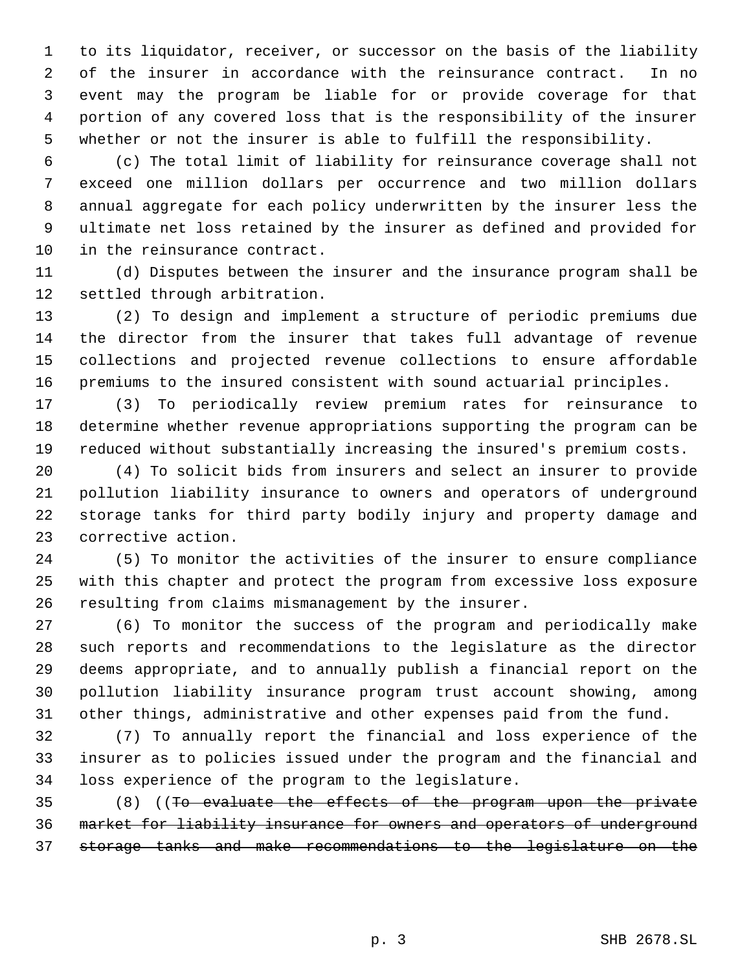to its liquidator, receiver, or successor on the basis of the liability of the insurer in accordance with the reinsurance contract. In no event may the program be liable for or provide coverage for that portion of any covered loss that is the responsibility of the insurer whether or not the insurer is able to fulfill the responsibility.

 (c) The total limit of liability for reinsurance coverage shall not exceed one million dollars per occurrence and two million dollars annual aggregate for each policy underwritten by the insurer less the ultimate net loss retained by the insurer as defined and provided for in the reinsurance contract.

 (d) Disputes between the insurer and the insurance program shall be settled through arbitration.

 (2) To design and implement a structure of periodic premiums due the director from the insurer that takes full advantage of revenue collections and projected revenue collections to ensure affordable premiums to the insured consistent with sound actuarial principles.

 (3) To periodically review premium rates for reinsurance to determine whether revenue appropriations supporting the program can be reduced without substantially increasing the insured's premium costs.

 (4) To solicit bids from insurers and select an insurer to provide pollution liability insurance to owners and operators of underground storage tanks for third party bodily injury and property damage and corrective action.

 (5) To monitor the activities of the insurer to ensure compliance with this chapter and protect the program from excessive loss exposure resulting from claims mismanagement by the insurer.

 (6) To monitor the success of the program and periodically make such reports and recommendations to the legislature as the director deems appropriate, and to annually publish a financial report on the pollution liability insurance program trust account showing, among other things, administrative and other expenses paid from the fund.

 (7) To annually report the financial and loss experience of the insurer as to policies issued under the program and the financial and loss experience of the program to the legislature.

 (8) ((To evaluate the effects of the program upon the private market for liability insurance for owners and operators of underground storage tanks and make recommendations to the legislature on the